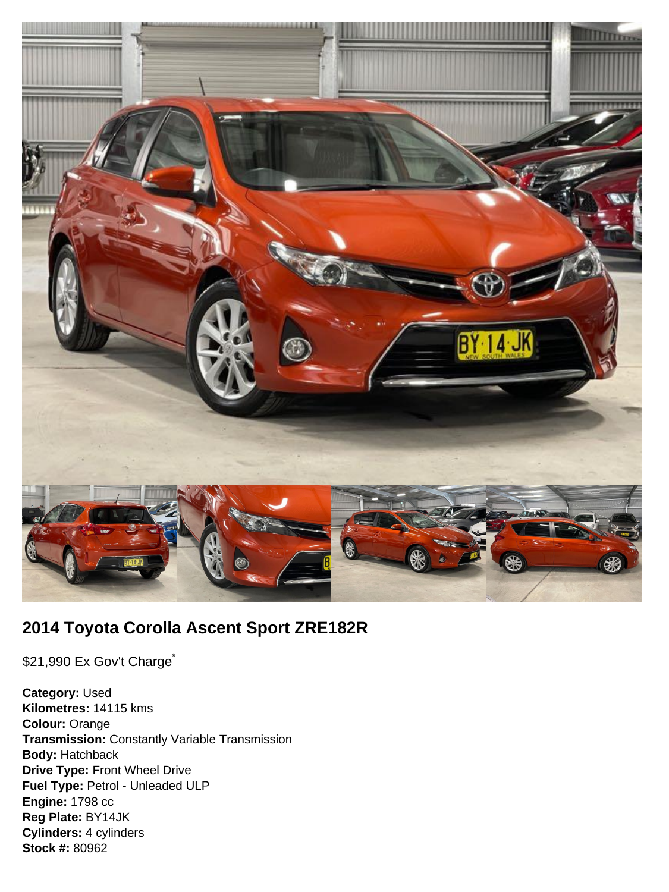

# **2014 Toyota Corolla Ascent Sport ZRE182R**

\$21,990 Ex Gov't Charge<sup>\*</sup>

**Category:** Used **Kilometres:** 14115 kms **Colour:** Orange **Transmission:** Constantly Variable Transmission **Body:** Hatchback **Drive Type:** Front Wheel Drive **Fuel Type:** Petrol - Unleaded ULP **Engine:** 1798 cc **Reg Plate:** BY14JK **Cylinders:** 4 cylinders **Stock #:** 80962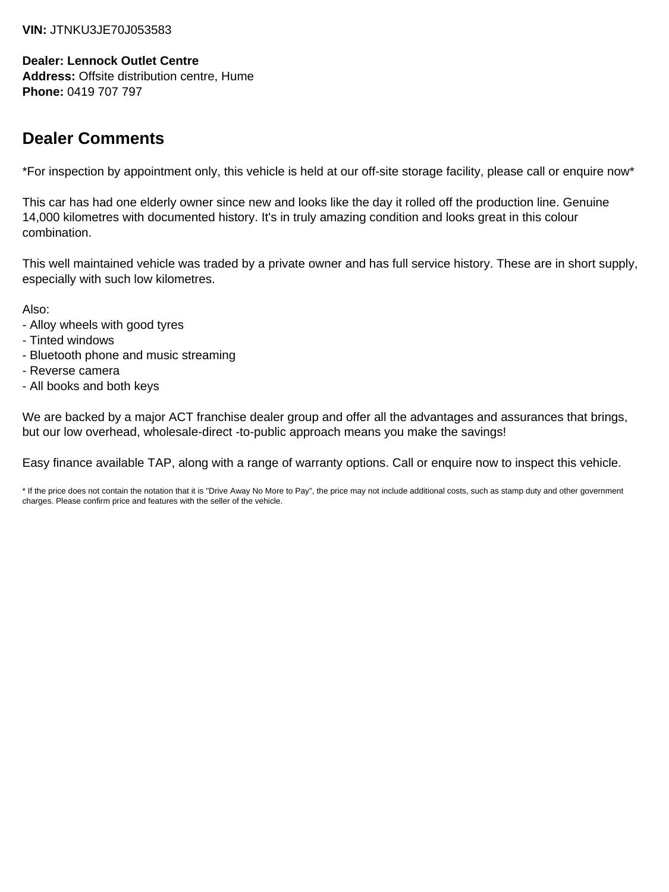#### **VIN:** JTNKU3JE70J053583

### **Dealer: Lennock Outlet Centre**

**Address:** Offsite distribution centre, Hume **Phone:** 0419 707 797

# **Dealer Comments**

\*For inspection by appointment only, this vehicle is held at our off-site storage facility, please call or enquire now\*

This car has had one elderly owner since new and looks like the day it rolled off the production line. Genuine 14,000 kilometres with documented history. It's in truly amazing condition and looks great in this colour combination.

This well maintained vehicle was traded by a private owner and has full service history. These are in short supply, especially with such low kilometres.

Also:

- Alloy wheels with good tyres
- Tinted windows
- Bluetooth phone and music streaming
- Reverse camera
- All books and both keys

We are backed by a major ACT franchise dealer group and offer all the advantages and assurances that brings, but our low overhead, wholesale-direct -to-public approach means you make the savings!

Easy finance available TAP, along with a range of warranty options. Call or enquire now to inspect this vehicle.

\* If the price does not contain the notation that it is "Drive Away No More to Pay", the price may not include additional costs, such as stamp duty and other government charges. Please confirm price and features with the seller of the vehicle.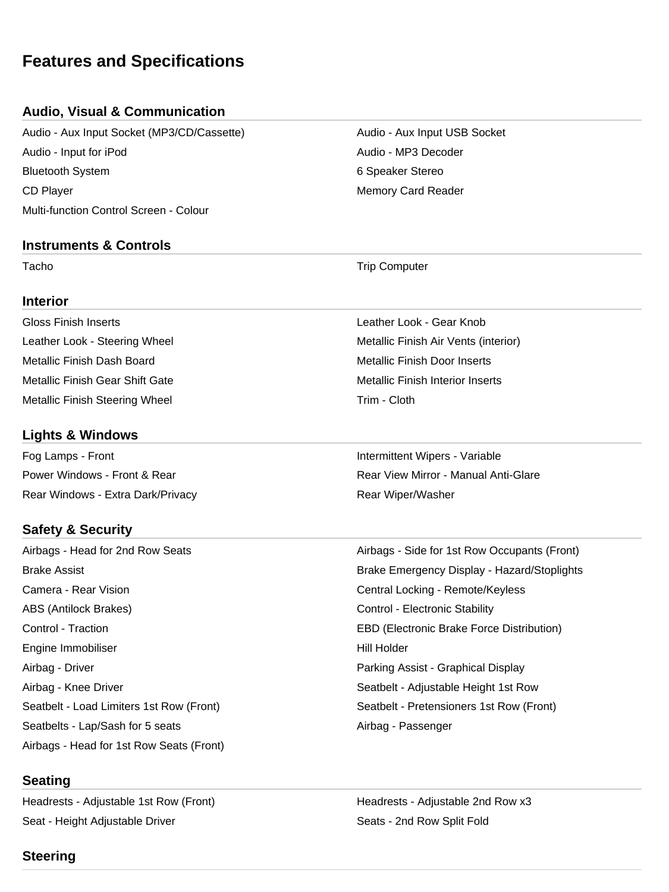# **Features and Specifications**

# **Audio, Visual & Communication**

Audio - Aux Input Socket (MP3/CD/Cassette) Audio - Aux Input USB Socket Audio - Input for iPod Audio - MP3 Decoder Bluetooth System **6 Speaker Stereo** 6 Speaker Stereo CD Player **Memory Card Reader** Memory Card Reader Multi-function Control Screen - Colour

#### **Instruments & Controls**

#### **Interior**

Gloss Finish Inserts Leather Look - Gear Knob Metallic Finish Dash Board Metallic Finish Door Inserts Metallic Finish Gear Shift Gate Metallic Finish Interior Inserts Metallic Finish Steering Wheel Trim - Cloth

# **Lights & Windows**

Fog Lamps - Front **Intermittent Wipers - Variable** Rear Windows - Extra Dark/Privacy **Rear Windows** - Extra Dark/Privacy

### **Safety & Security**

Camera - Rear Vision Central Locking - Remote/Keyless ABS (Antilock Brakes) The Control - Electronic Stability Control - Electronic Stability Engine Immobiliser North States and The Hill Holder Hill Holder Airbag - Driver Parking Assist - Graphical Display Airbag - Knee Driver Seatbelt - Adjustable Height 1st Row Seatbelt - Load Limiters 1st Row (Front) Seatbelt - Pretensioners 1st Row (Front) Seatbelts - Lap/Sash for 5 seats Airbag - Passenger Airbags - Head for 1st Row Seats (Front)

### **Seating**

Headrests - Adjustable 1st Row (Front) The Meadrests - Adjustable 2nd Row x3 Seat - Height Adjustable Driver Seats - 2nd Row Split Fold

Tacho **Trip Computer** Trip Computer

Leather Look - Steering Wheel Metallic Finish Air Vents (interior)

Power Windows - Front & Rear Rear View Mirror - Manual Anti-Glare

Airbags - Head for 2nd Row Seats Airbags - Side for 1st Row Occupants (Front) Brake Assist Brake Emergency Display - Hazard/Stoplights Control - Traction EBD (Electronic Brake Force Distribution)

# **Steering**